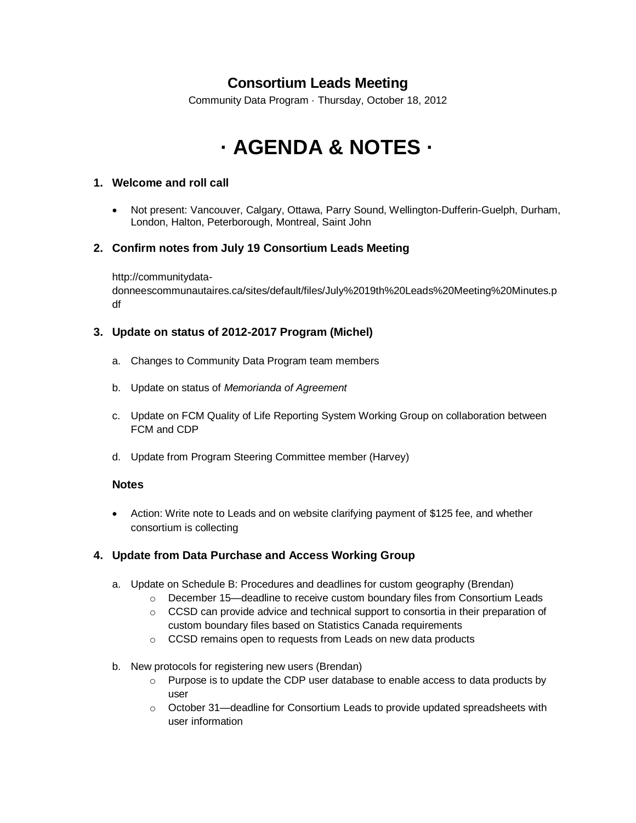# **Consortium Leads Meeting**

Community Data Program · Thursday, October 18, 2012

# **· AGENDA & NOTES ·**

# **1. Welcome and roll call**

 Not present: Vancouver, Calgary, Ottawa, Parry Sound, Wellington-Dufferin-Guelph, Durham, London, Halton, Peterborough, Montreal, Saint John

# **2. Confirm notes from July 19 Consortium Leads Meeting**

http://communitydata-

donneescommunautaires.ca/sites/default/files/July%2019th%20Leads%20Meeting%20Minutes.p df

# **3. Update on status of 2012-2017 Program (Michel)**

- a. Changes to Community Data Program team members
- b. Update on status of *Memorianda of Agreement*
- c. Update on FCM Quality of Life Reporting System Working Group on collaboration between FCM and CDP
- d. Update from Program Steering Committee member (Harvey)

# **Notes**

 Action: Write note to Leads and on website clarifying payment of \$125 fee, and whether consortium is collecting

# **4. Update from Data Purchase and Access Working Group**

- a. Update on Schedule B: Procedures and deadlines for custom geography (Brendan)
	- o December 15—deadline to receive custom boundary files from Consortium Leads
	- $\circ$  CCSD can provide advice and technical support to consortia in their preparation of custom boundary files based on Statistics Canada requirements
	- o CCSD remains open to requests from Leads on new data products
- b. New protocols for registering new users (Brendan)
	- $\circ$  Purpose is to update the CDP user database to enable access to data products by user
	- o October 31—deadline for Consortium Leads to provide updated spreadsheets with user information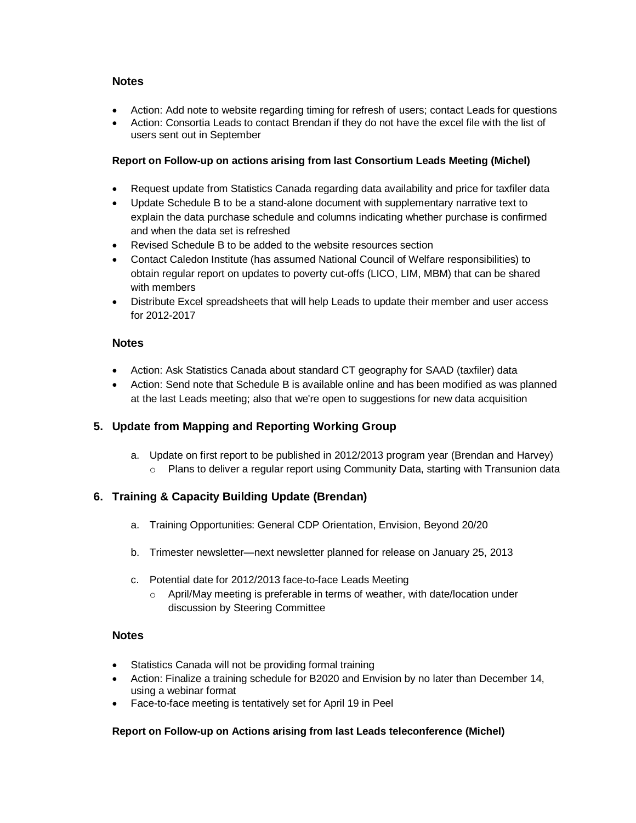#### **Notes**

- Action: Add note to website regarding timing for refresh of users; contact Leads for questions
- Action: Consortia Leads to contact Brendan if they do not have the excel file with the list of users sent out in September

#### **Report on Follow-up on actions arising from last Consortium Leads Meeting (Michel)**

- Request update from Statistics Canada regarding data availability and price for taxfiler data
- Update Schedule B to be a stand-alone document with supplementary narrative text to explain the data purchase schedule and columns indicating whether purchase is confirmed and when the data set is refreshed
- Revised Schedule B to be added to the website resources section
- Contact Caledon Institute (has assumed National Council of Welfare responsibilities) to obtain regular report on updates to poverty cut-offs (LICO, LIM, MBM) that can be shared with members
- Distribute Excel spreadsheets that will help Leads to update their member and user access for 2012-2017

#### **Notes**

- Action: Ask Statistics Canada about standard CT geography for SAAD (taxfiler) data
- Action: Send note that Schedule B is available online and has been modified as was planned at the last Leads meeting; also that we're open to suggestions for new data acquisition

# **5. Update from Mapping and Reporting Working Group**

a. Update on first report to be published in 2012/2013 program year (Brendan and Harvey) o Plans to deliver a regular report using Community Data, starting with Transunion data

# **6. Training & Capacity Building Update (Brendan)**

- a. Training Opportunities: General CDP Orientation, Envision, Beyond 20/20
- b. Trimester newsletter—next newsletter planned for release on January 25, 2013
- c. Potential date for 2012/2013 face-to-face Leads Meeting
	- o April/May meeting is preferable in terms of weather, with date/location under discussion by Steering Committee

#### **Notes**

- Statistics Canada will not be providing formal training
- Action: Finalize a training schedule for B2020 and Envision by no later than December 14, using a webinar format
- Face-to-face meeting is tentatively set for April 19 in Peel

# **Report on Follow-up on Actions arising from last Leads teleconference (Michel)**